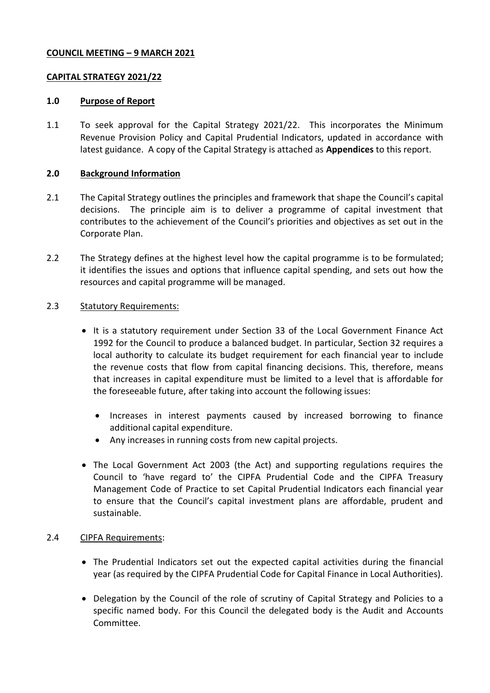# **COUNCIL MEETING – 9 MARCH 2021**

## **CAPITAL STRATEGY 2021/22**

### **1.0 Purpose of Report**

1.1 To seek approval for the Capital Strategy 2021/22. This incorporates the Minimum Revenue Provision Policy and Capital Prudential Indicators, updated in accordance with latest guidance. A copy of the Capital Strategy is attached as **Appendices** to this report.

### **2.0 Background Information**

- 2.1 The Capital Strategy outlines the principles and framework that shape the Council's capital decisions. The principle aim is to deliver a programme of capital investment that contributes to the achievement of the Council's priorities and objectives as set out in the Corporate Plan.
- 2.2 The Strategy defines at the highest level how the capital programme is to be formulated; it identifies the issues and options that influence capital spending, and sets out how the resources and capital programme will be managed.

### 2.3 Statutory Requirements:

- It is a statutory requirement under Section 33 of the Local Government Finance Act 1992 for the Council to produce a balanced budget. In particular, Section 32 requires a local authority to calculate its budget requirement for each financial year to include the revenue costs that flow from capital financing decisions. This, therefore, means that increases in capital expenditure must be limited to a level that is affordable for the foreseeable future, after taking into account the following issues:
	- Increases in interest payments caused by increased borrowing to finance additional capital expenditure.
	- Any increases in running costs from new capital projects.
- The Local Government Act 2003 (the Act) and supporting regulations requires the Council to 'have regard to' the CIPFA Prudential Code and the CIPFA Treasury Management Code of Practice to set Capital Prudential Indicators each financial year to ensure that the Council's capital investment plans are affordable, prudent and sustainable.

#### 2.4 CIPFA Requirements:

- The Prudential Indicators set out the expected capital activities during the financial year (as required by the CIPFA Prudential Code for Capital Finance in Local Authorities).
- Delegation by the Council of the role of scrutiny of Capital Strategy and Policies to a specific named body. For this Council the delegated body is the Audit and Accounts Committee.